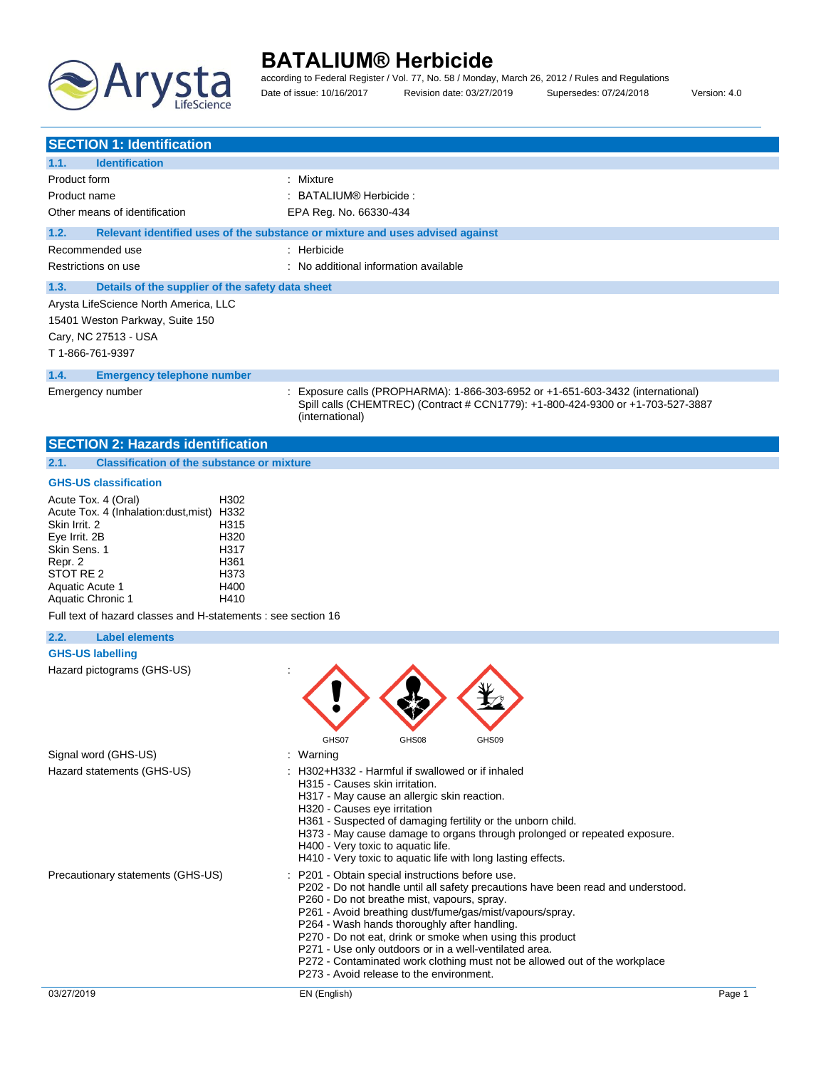

# **BATALIUM® Herbicide** according to Federal Register / Vol. 77, No. 58 / Monday, March 26, 2012 / Rules and Regulations

Date of issue: 10/16/2017 Revision date: 03/27/2019 Supersedes: 07/24/2018 Version: 4.0

| <b>SECTION 1: Identification</b>                                                                                                                                                                                                                    |                                                                                                                                                                                                                                                                                                                                                                                                                                                                                                                                                |
|-----------------------------------------------------------------------------------------------------------------------------------------------------------------------------------------------------------------------------------------------------|------------------------------------------------------------------------------------------------------------------------------------------------------------------------------------------------------------------------------------------------------------------------------------------------------------------------------------------------------------------------------------------------------------------------------------------------------------------------------------------------------------------------------------------------|
| 1.1.<br><b>Identification</b>                                                                                                                                                                                                                       |                                                                                                                                                                                                                                                                                                                                                                                                                                                                                                                                                |
| Product form                                                                                                                                                                                                                                        | Mixture                                                                                                                                                                                                                                                                                                                                                                                                                                                                                                                                        |
| Product name                                                                                                                                                                                                                                        | BATALIUM® Herbicide :                                                                                                                                                                                                                                                                                                                                                                                                                                                                                                                          |
| Other means of identification                                                                                                                                                                                                                       | EPA Reg. No. 66330-434                                                                                                                                                                                                                                                                                                                                                                                                                                                                                                                         |
| 1.2.                                                                                                                                                                                                                                                | Relevant identified uses of the substance or mixture and uses advised against                                                                                                                                                                                                                                                                                                                                                                                                                                                                  |
| Recommended use                                                                                                                                                                                                                                     | : Herbicide                                                                                                                                                                                                                                                                                                                                                                                                                                                                                                                                    |
| Restrictions on use                                                                                                                                                                                                                                 | : No additional information available                                                                                                                                                                                                                                                                                                                                                                                                                                                                                                          |
| Details of the supplier of the safety data sheet<br>1.3.                                                                                                                                                                                            |                                                                                                                                                                                                                                                                                                                                                                                                                                                                                                                                                |
| Arysta LifeScience North America, LLC<br>15401 Weston Parkway, Suite 150                                                                                                                                                                            |                                                                                                                                                                                                                                                                                                                                                                                                                                                                                                                                                |
| Cary, NC 27513 - USA                                                                                                                                                                                                                                |                                                                                                                                                                                                                                                                                                                                                                                                                                                                                                                                                |
| T 1-866-761-9397                                                                                                                                                                                                                                    |                                                                                                                                                                                                                                                                                                                                                                                                                                                                                                                                                |
|                                                                                                                                                                                                                                                     |                                                                                                                                                                                                                                                                                                                                                                                                                                                                                                                                                |
| 1.4.<br><b>Emergency telephone number</b>                                                                                                                                                                                                           |                                                                                                                                                                                                                                                                                                                                                                                                                                                                                                                                                |
| Emergency number                                                                                                                                                                                                                                    | : Exposure calls (PROPHARMA): 1-866-303-6952 or +1-651-603-3432 (international)<br>Spill calls (CHEMTREC) (Contract # CCN1779): +1-800-424-9300 or +1-703-527-3887<br>(international)                                                                                                                                                                                                                                                                                                                                                          |
| <b>SECTION 2: Hazards identification</b>                                                                                                                                                                                                            |                                                                                                                                                                                                                                                                                                                                                                                                                                                                                                                                                |
| 2.1.<br><b>Classification of the substance or mixture</b>                                                                                                                                                                                           |                                                                                                                                                                                                                                                                                                                                                                                                                                                                                                                                                |
| <b>GHS-US classification</b>                                                                                                                                                                                                                        |                                                                                                                                                                                                                                                                                                                                                                                                                                                                                                                                                |
| Acute Tox. 4 (Oral)<br>Acute Tox. 4 (Inhalation:dust, mist) H332<br>Skin Irrit. 2<br>Eye Irrit. 2B<br>Skin Sens. 1<br>Repr. 2<br>STOT RE 2<br>Aquatic Acute 1<br>Aquatic Chronic 1<br>Full text of hazard classes and H-statements : see section 16 | H302<br>H315<br>H320<br>H317<br>H361<br>H373<br>H400<br>H410                                                                                                                                                                                                                                                                                                                                                                                                                                                                                   |
|                                                                                                                                                                                                                                                     |                                                                                                                                                                                                                                                                                                                                                                                                                                                                                                                                                |
| 2.2.<br><b>Label elements</b><br><b>GHS-US labelling</b>                                                                                                                                                                                            |                                                                                                                                                                                                                                                                                                                                                                                                                                                                                                                                                |
| Hazard pictograms (GHS-US)                                                                                                                                                                                                                          | GHS07<br>GHS08<br>GHS09                                                                                                                                                                                                                                                                                                                                                                                                                                                                                                                        |
| Signal word (GHS-US)                                                                                                                                                                                                                                | : Warning                                                                                                                                                                                                                                                                                                                                                                                                                                                                                                                                      |
| Hazard statements (GHS-US)                                                                                                                                                                                                                          | H302+H332 - Harmful if swallowed or if inhaled<br>H315 - Causes skin irritation.<br>H317 - May cause an allergic skin reaction.<br>H320 - Causes eye irritation<br>H361 - Suspected of damaging fertility or the unborn child.<br>H373 - May cause damage to organs through prolonged or repeated exposure.<br>H400 - Very toxic to aquatic life.<br>H410 - Very toxic to aquatic life with long lasting effects.                                                                                                                              |
| Precautionary statements (GHS-US)                                                                                                                                                                                                                   | P201 - Obtain special instructions before use.<br>P202 - Do not handle until all safety precautions have been read and understood.<br>P260 - Do not breathe mist, vapours, spray.<br>P261 - Avoid breathing dust/fume/gas/mist/vapours/spray.<br>P264 - Wash hands thoroughly after handling.<br>P270 - Do not eat, drink or smoke when using this product<br>P271 - Use only outdoors or in a well-ventilated area.<br>P272 - Contaminated work clothing must not be allowed out of the workplace<br>P273 - Avoid release to the environment. |
| 03/27/2019                                                                                                                                                                                                                                          | EN (English)<br>Page 1                                                                                                                                                                                                                                                                                                                                                                                                                                                                                                                         |

I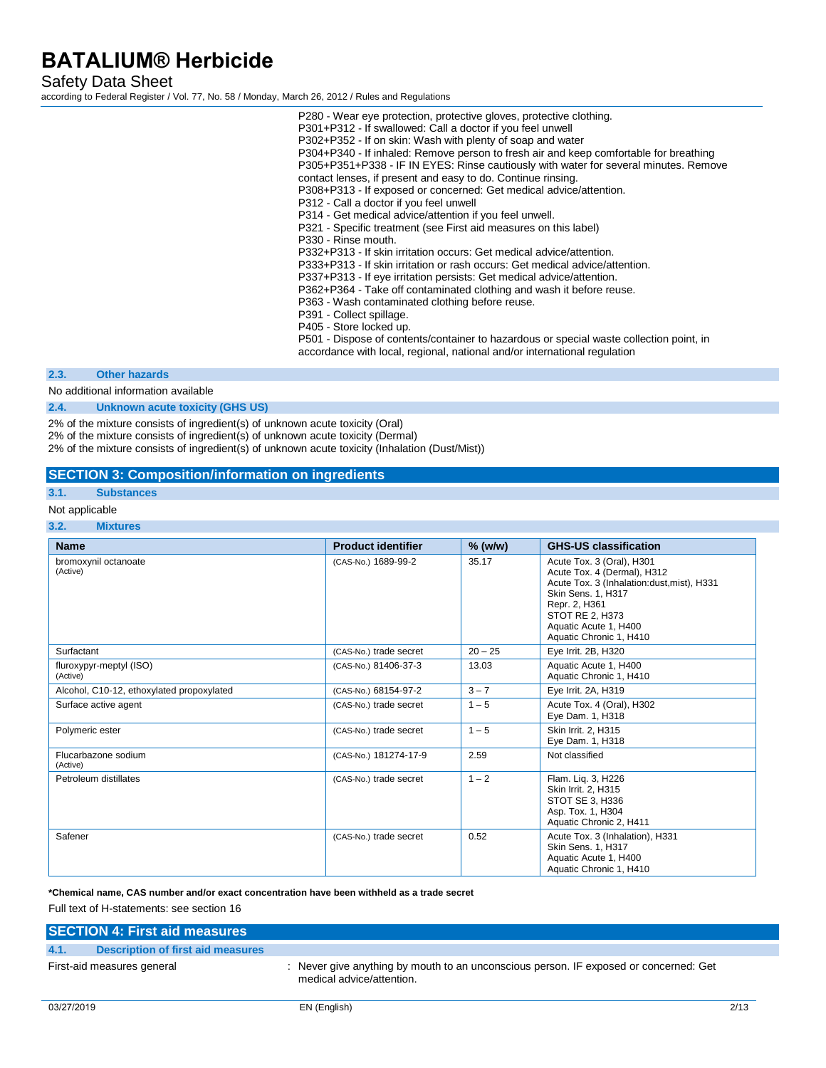Safety Data Sheet

according to Federal Register / Vol. 77, No. 58 / Monday, March 26, 2012 / Rules and Regulations

| P280 - Wear eye protection, protective gloves, protective clothing.                     |
|-----------------------------------------------------------------------------------------|
| P301+P312 - If swallowed: Call a doctor if you feel unwell                              |
| P302+P352 - If on skin: Wash with plenty of soap and water                              |
| P304+P340 - If inhaled: Remove person to fresh air and keep comfortable for breathing   |
| P305+P351+P338 - IF IN EYES: Rinse cautiously with water for several minutes. Remove    |
| contact lenses, if present and easy to do. Continue rinsing.                            |
| P308+P313 - If exposed or concerned: Get medical advice/attention.                      |
| P312 - Call a doctor if you feel unwell                                                 |
| P314 - Get medical advice/attention if you feel unwell.                                 |
| P321 - Specific treatment (see First aid measures on this label)                        |
| P330 - Rinse mouth.                                                                     |
| P332+P313 - If skin irritation occurs: Get medical advice/attention.                    |
| P333+P313 - If skin irritation or rash occurs: Get medical advice/attention.            |
| P337+P313 - If eye irritation persists: Get medical advice/attention.                   |
| P362+P364 - Take off contaminated clothing and wash it before reuse.                    |
| P363 - Wash contaminated clothing before reuse.                                         |
| P391 - Collect spillage.                                                                |
| P405 - Store locked up.                                                                 |
| P501 - Dispose of contents/container to hazardous or special waste collection point, in |
| accordance with local, regional, national and/or international regulation               |
|                                                                                         |

#### **2.3. Other hazards**

No additional information available

#### **2.4. Unknown acute toxicity (GHS US)**

2% of the mixture consists of ingredient(s) of unknown acute toxicity (Oral) 2% of the mixture consists of ingredient(s) of unknown acute toxicity (Dermal) 2% of the mixture consists of ingredient(s) of unknown acute toxicity (Inhalation (Dust/Mist))

### **SECTION 3: Composition/information on ingredients**

#### **3.1. Substances**

#### Not applicable

#### **3.2. Mixtures**

| <b>Name</b>                               | <b>Product identifier</b> | $%$ (w/w) | <b>GHS-US classification</b>                                                                                                                                                                                         |
|-------------------------------------------|---------------------------|-----------|----------------------------------------------------------------------------------------------------------------------------------------------------------------------------------------------------------------------|
| bromoxynil octanoate<br>(Active)          | (CAS-No.) 1689-99-2       | 35.17     | Acute Tox. 3 (Oral), H301<br>Acute Tox. 4 (Dermal), H312<br>Acute Tox. 3 (Inhalation:dust, mist), H331<br>Skin Sens. 1, H317<br>Repr. 2, H361<br>STOT RE 2. H373<br>Aquatic Acute 1, H400<br>Aquatic Chronic 1, H410 |
| Surfactant                                | (CAS-No.) trade secret    | $20 - 25$ | Eye Irrit. 2B, H320                                                                                                                                                                                                  |
| fluroxypyr-meptyl (ISO)<br>(Active)       | (CAS-No.) 81406-37-3      | 13.03     | Aquatic Acute 1, H400<br>Aquatic Chronic 1, H410                                                                                                                                                                     |
| Alcohol, C10-12, ethoxylated propoxylated | (CAS-No.) 68154-97-2      | $3 - 7$   | Eye Irrit. 2A, H319                                                                                                                                                                                                  |
| Surface active agent                      | (CAS-No.) trade secret    | $1 - 5$   | Acute Tox. 4 (Oral), H302<br>Eye Dam. 1, H318                                                                                                                                                                        |
| Polymeric ester                           | (CAS-No.) trade secret    | $1 - 5$   | Skin Irrit. 2, H315<br>Eye Dam. 1, H318                                                                                                                                                                              |
| Flucarbazone sodium<br>(Active)           | (CAS-No.) 181274-17-9     | 2.59      | Not classified                                                                                                                                                                                                       |
| Petroleum distillates                     | (CAS-No.) trade secret    | $1 - 2$   | Flam. Liq. 3, H226<br>Skin Irrit. 2, H315<br>STOT SE 3. H336<br>Asp. Tox. 1, H304<br>Aquatic Chronic 2, H411                                                                                                         |
| Safener                                   | (CAS-No.) trade secret    | 0.52      | Acute Tox. 3 (Inhalation), H331<br>Skin Sens. 1, H317<br>Aquatic Acute 1, H400<br>Aquatic Chronic 1, H410                                                                                                            |

**\*Chemical name, CAS number and/or exact concentration have been withheld as a trade secret** Full text of H-statements: see section 16

#### **SECTION 4: First aid measures**

#### **4.1. Description of first aid measures**

First-aid measures general interest in the state of the ver give anything by mouth to an unconscious person. IF exposed or concerned: Get medical advice/attention.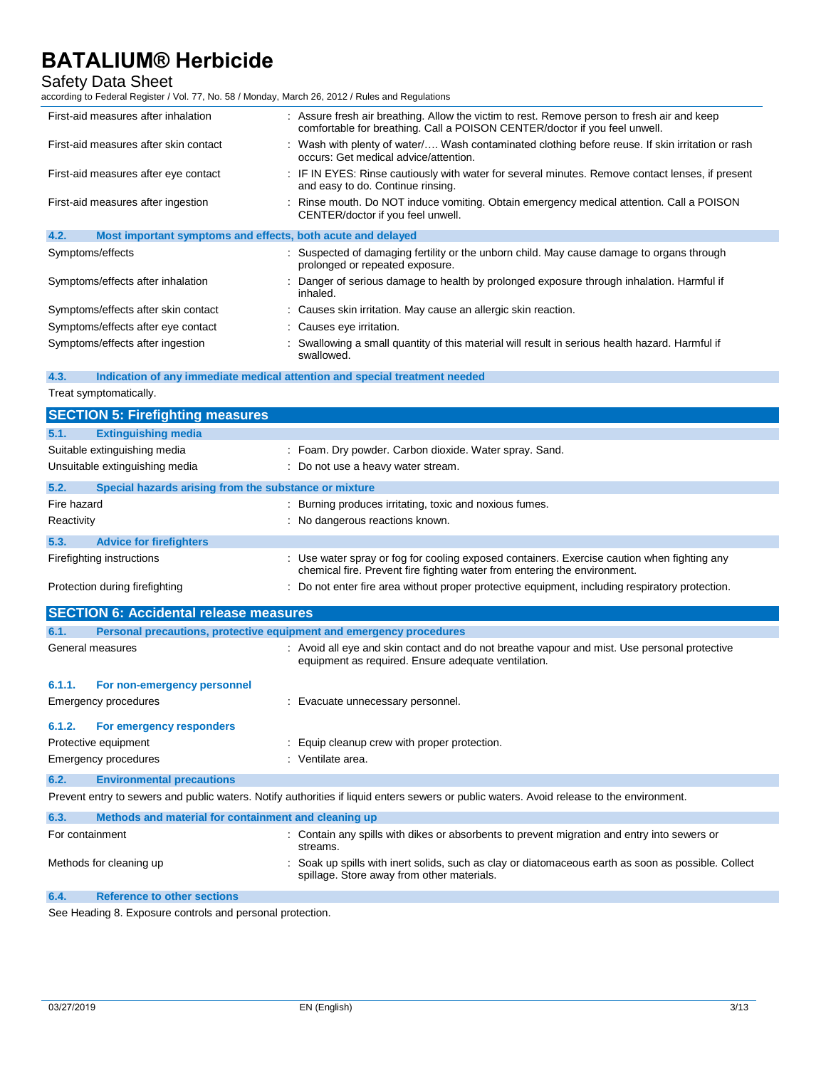### Safety Data Sheet

according to Federal Register / Vol. 77, No. 58 / Monday, March 26, 2012 / Rules and Regulations

| First-aid measures after inhalation                                 | : Assure fresh air breathing. Allow the victim to rest. Remove person to fresh air and keep<br>comfortable for breathing. Call a POISON CENTER/doctor if you feel unwell. |
|---------------------------------------------------------------------|---------------------------------------------------------------------------------------------------------------------------------------------------------------------------|
| First-aid measures after skin contact                               | : Wash with plenty of water/ Wash contaminated clothing before reuse. If skin irritation or rash<br>occurs: Get medical advice/attention.                                 |
| First-aid measures after eye contact                                | : IF IN EYES: Rinse cautiously with water for several minutes. Remove contact lenses, if present<br>and easy to do. Continue rinsing.                                     |
| First-aid measures after ingestion                                  | : Rinse mouth. Do NOT induce vomiting. Obtain emergency medical attention. Call a POISON<br>CENTER/doctor if you feel unwell.                                             |
| 4.2.<br>Most important symptoms and effects, both acute and delayed |                                                                                                                                                                           |
| Symptoms/effects                                                    | : Suspected of damaging fertility or the unborn child. May cause damage to organs through<br>prolonged or repeated exposure.                                              |
| Symptoms/effects after inhalation                                   | : Danger of serious damage to health by prolonged exposure through inhalation. Harmful if<br>inhaled.                                                                     |
| Symptoms/effects after skin contact                                 | : Causes skin irritation. May cause an allergic skin reaction.                                                                                                            |
| Symptoms/effects after eye contact                                  | : Causes eye irritation.                                                                                                                                                  |
| Symptoms/effects after ingestion                                    | : Swallowing a small quantity of this material will result in serious health hazard. Harmful if                                                                           |

swallowed.

#### **4.3. Indication of any immediate medical attention and special treatment needed**

Treat symptomatically.

| : Foam. Dry powder. Carbon dioxide. Water spray. Sand.                                                                                                                   |
|--------------------------------------------------------------------------------------------------------------------------------------------------------------------------|
| : Do not use a heavy water stream.                                                                                                                                       |
| Special hazards arising from the substance or mixture                                                                                                                    |
| : Burning produces irritating, toxic and noxious fumes.                                                                                                                  |
| : No dangerous reactions known.                                                                                                                                          |
|                                                                                                                                                                          |
| : Use water spray or fog for cooling exposed containers. Exercise caution when fighting any<br>chemical fire. Prevent fire fighting water from entering the environment. |
| : Do not enter fire area without proper protective equipment, including respiratory protection.                                                                          |
|                                                                                                                                                                          |

| <b>SECTION 6: Accidental release measures</b> |                                                                                                                                           |                                                                                                                                                     |  |  |
|-----------------------------------------------|-------------------------------------------------------------------------------------------------------------------------------------------|-----------------------------------------------------------------------------------------------------------------------------------------------------|--|--|
| 6.1.                                          | Personal precautions, protective equipment and emergency procedures                                                                       |                                                                                                                                                     |  |  |
|                                               | General measures                                                                                                                          | : Avoid all eye and skin contact and do not breathe vapour and mist. Use personal protective<br>equipment as required. Ensure adequate ventilation. |  |  |
| 6.1.1.                                        | For non-emergency personnel                                                                                                               |                                                                                                                                                     |  |  |
|                                               | Emergency procedures                                                                                                                      | : Evacuate unnecessary personnel.                                                                                                                   |  |  |
| 6.1.2.                                        | For emergency responders                                                                                                                  |                                                                                                                                                     |  |  |
|                                               | Protective equipment                                                                                                                      | : Equip cleanup crew with proper protection.                                                                                                        |  |  |
|                                               | <b>Emergency procedures</b>                                                                                                               | : Ventilate area.                                                                                                                                   |  |  |
| 6.2.                                          | <b>Environmental precautions</b>                                                                                                          |                                                                                                                                                     |  |  |
|                                               | Prevent entry to sewers and public waters. Notify authorities if liquid enters sewers or public waters. Avoid release to the environment. |                                                                                                                                                     |  |  |
| 6.3.                                          | Methods and material for containment and cleaning up                                                                                      |                                                                                                                                                     |  |  |
| For containment                               |                                                                                                                                           | : Contain any spills with dikes or absorbents to prevent migration and entry into sewers or<br>streams.                                             |  |  |

Methods for cleaning up : Soak up spills with inert solids, such as clay or diatomaceous earth as soon as possible. Collect spillage. Store away from other materials.

### **6.4. Reference to other sections**

See Heading 8. Exposure controls and personal protection.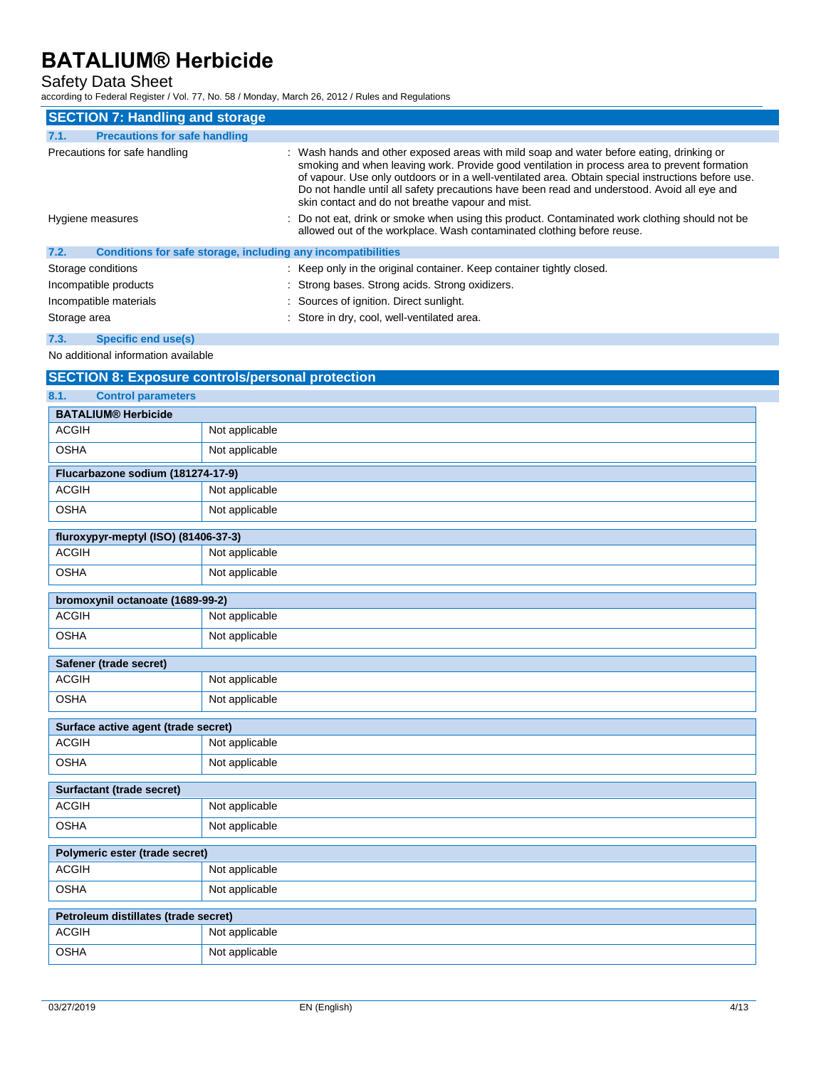### Safety Data Sheet

according to Federal Register / Vol. 77, No. 58 / Monday, March 26, 2012 / Rules and Regulations

| <b>SECTION 7: Handling and storage</b>                               |                                                                                                                                                                                                                                                                                                                                                                                                                                                   |  |
|----------------------------------------------------------------------|---------------------------------------------------------------------------------------------------------------------------------------------------------------------------------------------------------------------------------------------------------------------------------------------------------------------------------------------------------------------------------------------------------------------------------------------------|--|
| <b>Precautions for safe handling</b><br>7.1.                         |                                                                                                                                                                                                                                                                                                                                                                                                                                                   |  |
| Precautions for safe handling                                        | : Wash hands and other exposed areas with mild soap and water before eating, drinking or<br>smoking and when leaving work. Provide good ventilation in process area to prevent formation<br>of vapour. Use only outdoors or in a well-ventilated area. Obtain special instructions before use.<br>Do not handle until all safety precautions have been read and understood. Avoid all eye and<br>skin contact and do not breathe vapour and mist. |  |
| Hygiene measures                                                     | : Do not eat, drink or smoke when using this product. Contaminated work clothing should not be<br>allowed out of the workplace. Wash contaminated clothing before reuse.                                                                                                                                                                                                                                                                          |  |
| 7.2.<br>Conditions for safe storage, including any incompatibilities |                                                                                                                                                                                                                                                                                                                                                                                                                                                   |  |
| Storage conditions                                                   | : Keep only in the original container. Keep container tightly closed.                                                                                                                                                                                                                                                                                                                                                                             |  |
| Incompatible products                                                | : Strong bases. Strong acids. Strong oxidizers.                                                                                                                                                                                                                                                                                                                                                                                                   |  |
| Incompatible materials                                               | : Sources of ignition. Direct sunlight.                                                                                                                                                                                                                                                                                                                                                                                                           |  |

Storage area  $\qquad \qquad :$  Store in dry, cool, well-ventilated area.

#### **7.3. Specific end use(s)**

No additional information available

## **SECTION 8: Exposure controls/personal protection 8.1. Control parameters BATALIUM® Herbicide** ACGIH Not applicable OSHA Not applicable **Flucarbazone sodium (181274-17-9)** ACGIH Not applicable OSHA Not applicable **fluroxypyr-meptyl (ISO) (81406-37-3)** ACGIH Not applicable OSHA Not applicable **bromoxynil octanoate (1689-99-2)** ACGIH Not applicable OSHA Not applicable **Safener (trade secret)** ACGIH Not applicable OSHA Not applicable

| Surface active agent (trade secret) |  |  |
|-------------------------------------|--|--|
| Not applicable                      |  |  |
| Not applicable                      |  |  |
|                                     |  |  |
|                                     |  |  |
| Not applicable                      |  |  |
| Not applicable                      |  |  |
|                                     |  |  |
| Polymeric ester (trade secret)      |  |  |
| Not applicable                      |  |  |
|                                     |  |  |

| Petroleum distillates (trade secret) |                |  |
|--------------------------------------|----------------|--|
| ACGIH                                | Not applicable |  |
| <b>OSHA</b>                          | Not applicable |  |

OSHA Not applicable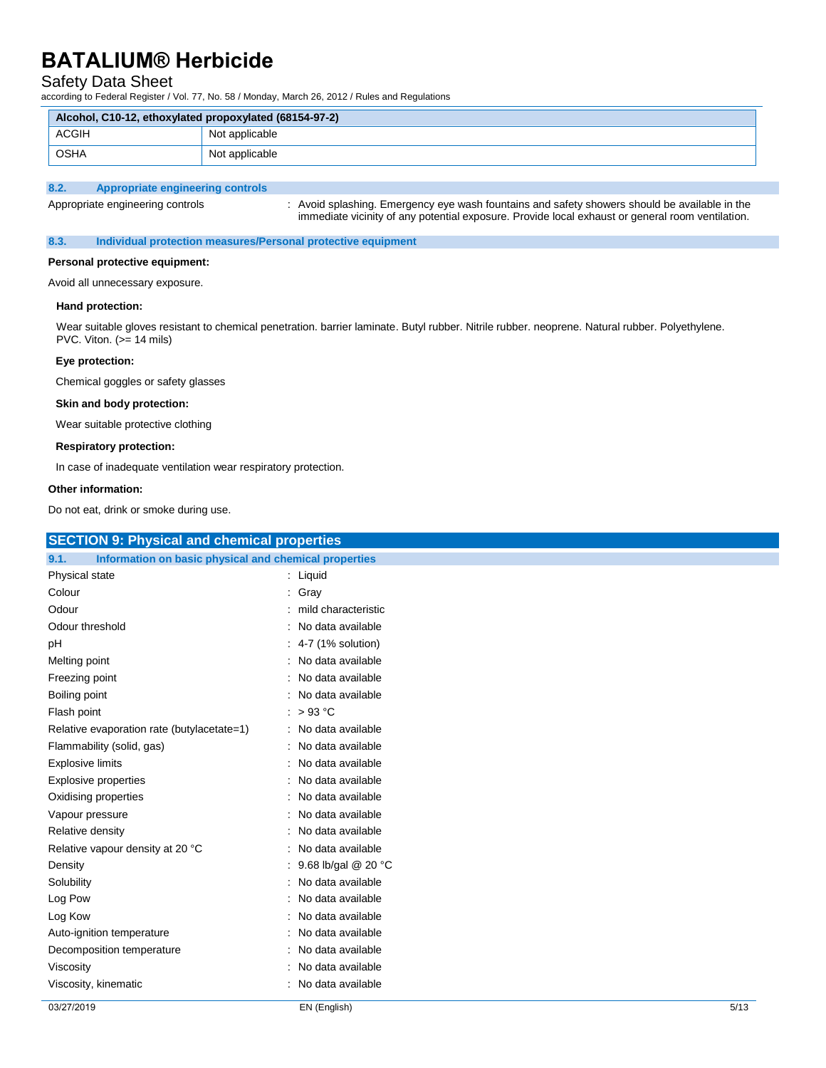### Safety Data Sheet

according to Federal Register / Vol. 77, No. 58 / Monday, March 26, 2012 / Rules and Regulations

| Alcohol, C10-12, ethoxylated propoxylated (68154-97-2) |                |
|--------------------------------------------------------|----------------|
| ACGIH                                                  | Not applicable |
| OSHA                                                   | Not applicable |

#### **8.2. Appropriate engineering controls**

Appropriate engineering controls : Avoid splashing. Emergency eye wash fountains and safety showers should be available in the immediate vicinity of any potential exposure. Provide local exhaust or general room ventilation.

#### **8.3. Individual protection measures/Personal protective equipment**

#### **Personal protective equipment:**

Avoid all unnecessary exposure.

#### **Hand protection:**

Wear suitable gloves resistant to chemical penetration. barrier laminate. Butyl rubber. Nitrile rubber. neoprene. Natural rubber. Polyethylene. PVC. Viton.  $(>= 14$  mils)

#### **Eye protection:**

Chemical goggles or safety glasses

#### **Skin and body protection:**

Wear suitable protective clothing

#### **Respiratory protection:**

In case of inadequate ventilation wear respiratory protection.

#### **Other information:**

Do not eat, drink or smoke during use.

| <b>SECTION 9: Physical and chemical properties</b>            |                       |      |
|---------------------------------------------------------------|-----------------------|------|
| 9.1.<br>Information on basic physical and chemical properties |                       |      |
| Physical state                                                | $:$ Liquid            |      |
| Colour                                                        | : Gray                |      |
| Odour                                                         | : mild characteristic |      |
| Odour threshold                                               | : No data available   |      |
| pH                                                            | $: 4-7$ (1% solution) |      |
| Melting point                                                 | : No data available   |      |
| Freezing point                                                | : No data available   |      |
| Boiling point                                                 | : No data available   |      |
| Flash point                                                   | : $>93^{\circ}$ C     |      |
| Relative evaporation rate (butylacetate=1)                    | : No data available   |      |
| Flammability (solid, gas)                                     | : No data available   |      |
| Explosive limits                                              | : No data available   |      |
| <b>Explosive properties</b>                                   | : No data available   |      |
| Oxidising properties                                          | : No data available   |      |
| Vapour pressure                                               | : No data available   |      |
| Relative density                                              | : No data available   |      |
| Relative vapour density at 20 °C                              | : No data available   |      |
| Density                                                       | : 9.68 lb/gal @ 20 °C |      |
| Solubility                                                    | : No data available   |      |
| Log Pow                                                       | : No data available   |      |
| Log Kow                                                       | : No data available   |      |
| Auto-ignition temperature                                     | : No data available   |      |
| Decomposition temperature                                     | : No data available   |      |
| Viscosity                                                     | : No data available   |      |
| Viscosity, kinematic                                          | : No data available   |      |
| 03/27/2019                                                    | EN (English)          | 5/13 |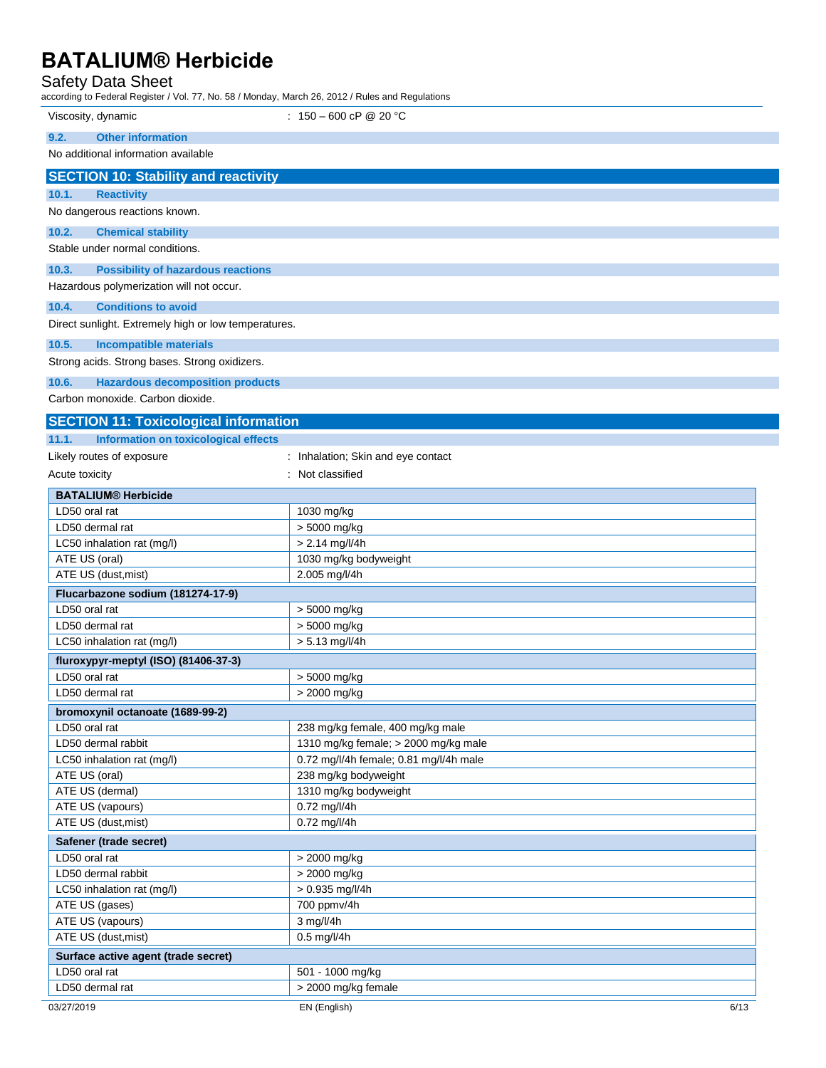### Safety Data Sheet

according to Federal Register / Vol. 77, No. 58 / Monday, March 26, 2012 / Rules and Regulations

| 2000 any to reduce regions restricted to response the monday, march 20, 2012 reduce and regulations<br>Viscosity, dynamic | : 150 – 600 cP @ 20 °C                             |  |  |
|---------------------------------------------------------------------------------------------------------------------------|----------------------------------------------------|--|--|
|                                                                                                                           |                                                    |  |  |
| <b>Other information</b><br>9.2.                                                                                          |                                                    |  |  |
| No additional information available                                                                                       |                                                    |  |  |
| <b>SECTION 10: Stability and reactivity</b>                                                                               |                                                    |  |  |
| 10.1.<br><b>Reactivity</b>                                                                                                |                                                    |  |  |
| No dangerous reactions known.                                                                                             |                                                    |  |  |
| 10.2.<br><b>Chemical stability</b>                                                                                        |                                                    |  |  |
| Stable under normal conditions.                                                                                           |                                                    |  |  |
|                                                                                                                           |                                                    |  |  |
|                                                                                                                           | 10.3.<br><b>Possibility of hazardous reactions</b> |  |  |
| Hazardous polymerization will not occur.                                                                                  |                                                    |  |  |
| 10.4.<br><b>Conditions to avoid</b>                                                                                       |                                                    |  |  |
| Direct sunlight. Extremely high or low temperatures.                                                                      |                                                    |  |  |
| 10.5.<br><b>Incompatible materials</b>                                                                                    |                                                    |  |  |
| Strong acids. Strong bases. Strong oxidizers.                                                                             |                                                    |  |  |
| 10.6.<br><b>Hazardous decomposition products</b>                                                                          |                                                    |  |  |
| Carbon monoxide. Carbon dioxide.                                                                                          |                                                    |  |  |
| <b>SECTION 11: Toxicological information</b>                                                                              |                                                    |  |  |
| 11.1.<br>Information on toxicological effects                                                                             |                                                    |  |  |
| Likely routes of exposure                                                                                                 | : Inhalation; Skin and eye contact                 |  |  |
| Acute toxicity                                                                                                            | Not classified                                     |  |  |
|                                                                                                                           |                                                    |  |  |
| <b>BATALIUM® Herbicide</b>                                                                                                |                                                    |  |  |
| LD50 oral rat                                                                                                             | 1030 mg/kg                                         |  |  |
| LD50 dermal rat<br>LC50 inhalation rat (mg/l)                                                                             | > 5000 mg/kg<br>> 2.14 mg/l/4h                     |  |  |
| ATE US (oral)                                                                                                             | 1030 mg/kg bodyweight                              |  |  |
| ATE US (dust, mist)                                                                                                       | 2.005 mg/l/4h                                      |  |  |
| Flucarbazone sodium (181274-17-9)                                                                                         |                                                    |  |  |
| LD50 oral rat                                                                                                             | > 5000 mg/kg                                       |  |  |
| LD50 dermal rat                                                                                                           | > 5000 mg/kg                                       |  |  |
| LC50 inhalation rat (mg/l)                                                                                                | $> 5.13$ mg/l/4h                                   |  |  |
| fluroxypyr-meptyl (ISO) (81406-37-3)                                                                                      |                                                    |  |  |
| LD50 oral rat                                                                                                             | > 5000 mg/kg                                       |  |  |
| LD50 dermal rat                                                                                                           | > 2000 mg/kg                                       |  |  |
| bromoxynil octanoate (1689-99-2)                                                                                          |                                                    |  |  |
| LD50 oral rat                                                                                                             | 238 mg/kg female, 400 mg/kg male                   |  |  |
| LD50 dermal rabbit                                                                                                        | 1310 mg/kg female; > 2000 mg/kg male               |  |  |
| LC50 inhalation rat (mg/l)                                                                                                | 0.72 mg/l/4h female; 0.81 mg/l/4h male             |  |  |
| ATE US (oral)                                                                                                             | 238 mg/kg bodyweight                               |  |  |
| ATE US (dermal)                                                                                                           | 1310 mg/kg bodyweight                              |  |  |
| ATE US (vapours)                                                                                                          | 0.72 mg/l/4h                                       |  |  |
| ATE US (dust, mist)                                                                                                       | 0.72 mg/l/4h                                       |  |  |
| Safener (trade secret)                                                                                                    |                                                    |  |  |
| LD50 oral rat                                                                                                             | > 2000 mg/kg                                       |  |  |
| LD50 dermal rabbit                                                                                                        | > 2000 mg/kg                                       |  |  |
| LC50 inhalation rat (mg/l)                                                                                                | > 0.935 mg/l/4h                                    |  |  |
| ATE US (gases)                                                                                                            | 700 ppmv/4h                                        |  |  |
| ATE US (vapours)                                                                                                          | 3 mg/l/4h                                          |  |  |
| ATE US (dust, mist)                                                                                                       | $0.5$ mg/l/4h                                      |  |  |
| Surface active agent (trade secret)                                                                                       |                                                    |  |  |
| LD50 oral rat                                                                                                             | 501 - 1000 mg/kg                                   |  |  |
| LD50 dermal rat                                                                                                           | > 2000 mg/kg female                                |  |  |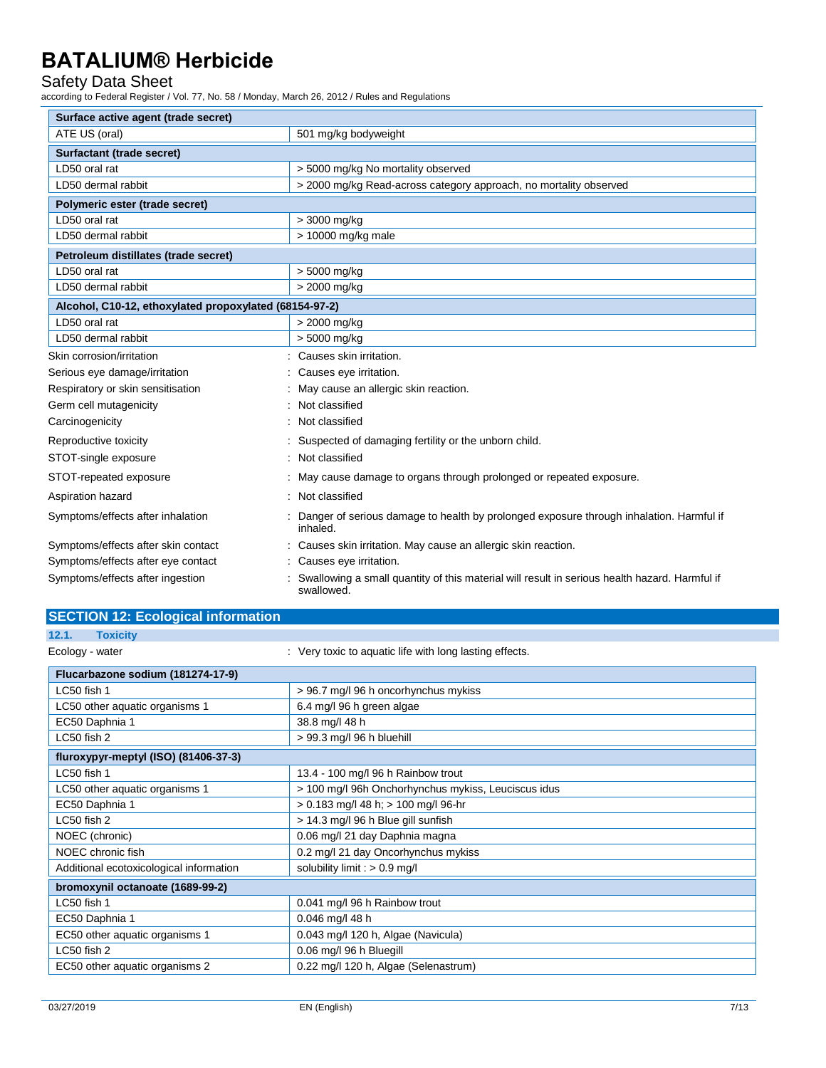Safety Data Sheet

according to Federal Register / Vol. 77, No. 58 / Monday, March 26, 2012 / Rules and Regulations

| Surface active agent (trade secret)                    |                                                                                                             |  |  |  |  |  |
|--------------------------------------------------------|-------------------------------------------------------------------------------------------------------------|--|--|--|--|--|
| ATE US (oral)                                          | 501 mg/kg bodyweight                                                                                        |  |  |  |  |  |
| <b>Surfactant (trade secret)</b>                       |                                                                                                             |  |  |  |  |  |
| LD50 oral rat                                          | > 5000 mg/kg No mortality observed                                                                          |  |  |  |  |  |
| LD50 dermal rabbit                                     | > 2000 mg/kg Read-across category approach, no mortality observed                                           |  |  |  |  |  |
| Polymeric ester (trade secret)                         |                                                                                                             |  |  |  |  |  |
| LD50 oral rat                                          | > 3000 mg/kg                                                                                                |  |  |  |  |  |
| LD50 dermal rabbit                                     | > 10000 mg/kg male                                                                                          |  |  |  |  |  |
| Petroleum distillates (trade secret)                   |                                                                                                             |  |  |  |  |  |
| LD50 oral rat                                          | > 5000 mg/kg                                                                                                |  |  |  |  |  |
| LD50 dermal rabbit                                     | > 2000 mg/kg                                                                                                |  |  |  |  |  |
| Alcohol, C10-12, ethoxylated propoxylated (68154-97-2) |                                                                                                             |  |  |  |  |  |
| LD50 oral rat                                          | > 2000 mg/kg                                                                                                |  |  |  |  |  |
| LD50 dermal rabbit                                     | > 5000 mg/kg                                                                                                |  |  |  |  |  |
| Skin corrosion/irritation                              | Causes skin irritation.                                                                                     |  |  |  |  |  |
| Serious eye damage/irritation                          | Causes eye irritation.                                                                                      |  |  |  |  |  |
| Respiratory or skin sensitisation                      | May cause an allergic skin reaction.                                                                        |  |  |  |  |  |
| Germ cell mutagenicity                                 | Not classified                                                                                              |  |  |  |  |  |
| Carcinogenicity                                        | Not classified                                                                                              |  |  |  |  |  |
| Reproductive toxicity                                  | Suspected of damaging fertility or the unborn child.                                                        |  |  |  |  |  |
| STOT-single exposure                                   | Not classified                                                                                              |  |  |  |  |  |
| STOT-repeated exposure                                 | May cause damage to organs through prolonged or repeated exposure.                                          |  |  |  |  |  |
| Aspiration hazard                                      | Not classified                                                                                              |  |  |  |  |  |
| Symptoms/effects after inhalation                      | Danger of serious damage to health by prolonged exposure through inhalation. Harmful if<br>inhaled.         |  |  |  |  |  |
| Symptoms/effects after skin contact                    | Causes skin irritation. May cause an allergic skin reaction.                                                |  |  |  |  |  |
| Symptoms/effects after eye contact                     | Causes eye irritation.                                                                                      |  |  |  |  |  |
| Symptoms/effects after ingestion                       | Swallowing a small quantity of this material will result in serious health hazard. Harmful if<br>swallowed. |  |  |  |  |  |

### **SECTION 12: Ecological information**

| 12.1.<br><b>Toxicity</b>                |                                                       |  |  |  |  |
|-----------------------------------------|-------------------------------------------------------|--|--|--|--|
| Ecology - water                         | Very toxic to aquatic life with long lasting effects. |  |  |  |  |
| Flucarbazone sodium (181274-17-9)       |                                                       |  |  |  |  |
| LC50 fish 1                             | > 96.7 mg/l 96 h oncorhynchus mykiss                  |  |  |  |  |
| LC50 other aquatic organisms 1          | 6.4 mg/l 96 h green algae                             |  |  |  |  |
| EC50 Daphnia 1                          | 38.8 mg/l 48 h                                        |  |  |  |  |
| LC50 fish 2                             | > 99.3 mg/l 96 h bluehill                             |  |  |  |  |
| fluroxypyr-meptyl (ISO) (81406-37-3)    |                                                       |  |  |  |  |
| LC50 fish 1                             | 13.4 - 100 mg/l 96 h Rainbow trout                    |  |  |  |  |
| LC50 other aquatic organisms 1          | > 100 mg/l 96h Onchorhynchus mykiss, Leuciscus idus   |  |  |  |  |
| EC50 Daphnia 1                          | > 0.183 mg/l 48 h; > 100 mg/l 96-hr                   |  |  |  |  |
| LC50 fish 2                             | > 14.3 mg/l 96 h Blue gill sunfish                    |  |  |  |  |
| NOEC (chronic)                          | 0.06 mg/l 21 day Daphnia magna                        |  |  |  |  |
| NOEC chronic fish                       | 0.2 mg/l 21 day Oncorhynchus mykiss                   |  |  |  |  |
| Additional ecotoxicological information | solubility limit : > 0.9 mg/l                         |  |  |  |  |
| bromoxynil octanoate (1689-99-2)        |                                                       |  |  |  |  |
| LC50 fish 1                             | 0.041 mg/l 96 h Rainbow trout                         |  |  |  |  |
| EC50 Daphnia 1                          | 0.046 mg/l 48 h                                       |  |  |  |  |
| EC50 other aquatic organisms 1          | 0.043 mg/l 120 h, Algae (Navicula)                    |  |  |  |  |
| LC50 fish 2                             | 0.06 mg/l 96 h Bluegill                               |  |  |  |  |
| EC50 other aquatic organisms 2          | 0.22 mg/l 120 h, Algae (Selenastrum)                  |  |  |  |  |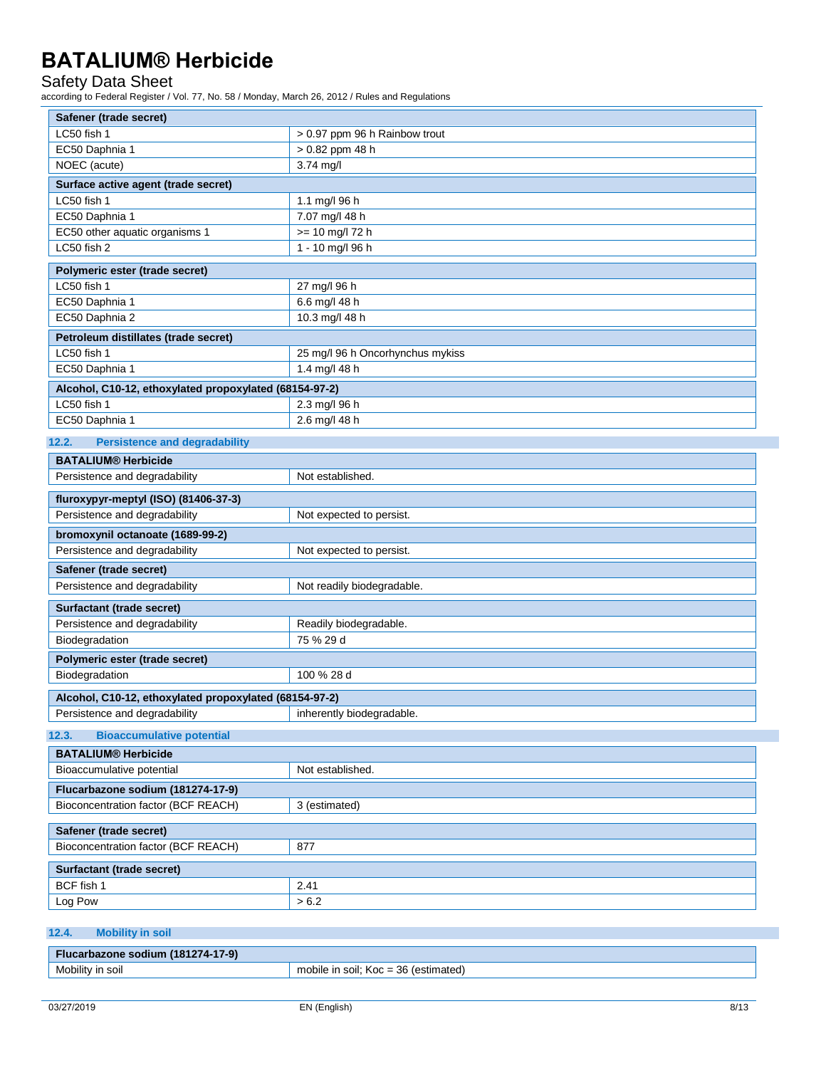Safety Data Sheet

according to Federal Register / Vol. 77, No. 58 / Monday, March 26, 2012 / Rules and Regulations

| Safener (trade secret)                                                |                                  |  |  |
|-----------------------------------------------------------------------|----------------------------------|--|--|
| LC50 fish 1                                                           | > 0.97 ppm 96 h Rainbow trout    |  |  |
| EC50 Daphnia 1                                                        | > 0.82 ppm 48 h                  |  |  |
| NOEC (acute)                                                          | 3.74 mg/l                        |  |  |
| Surface active agent (trade secret)                                   |                                  |  |  |
| LC50 fish 1                                                           | 1.1 mg/l 96 h                    |  |  |
| EC50 Daphnia 1                                                        | 7.07 mg/l 48 h                   |  |  |
| EC50 other aquatic organisms 1                                        | >= 10 mg/l 72 h                  |  |  |
| LC50 fish 2                                                           | 1 - 10 mg/l 96 h                 |  |  |
| Polymeric ester (trade secret)                                        |                                  |  |  |
| LC50 fish 1                                                           | 27 mg/l 96 h                     |  |  |
| EC50 Daphnia 1                                                        | 6.6 mg/l 48 h                    |  |  |
| EC50 Daphnia 2                                                        | 10.3 mg/l 48 h                   |  |  |
| Petroleum distillates (trade secret)                                  |                                  |  |  |
| LC50 fish 1                                                           | 25 mg/l 96 h Oncorhynchus mykiss |  |  |
| EC50 Daphnia 1                                                        | 1.4 mg/l 48 h                    |  |  |
|                                                                       |                                  |  |  |
| Alcohol, C10-12, ethoxylated propoxylated (68154-97-2)<br>LC50 fish 1 | 2.3 mg/l 96 h                    |  |  |
| EC50 Daphnia 1                                                        | 2.6 mg/l 48 h                    |  |  |
|                                                                       |                                  |  |  |
| 12.2.<br><b>Persistence and degradability</b>                         |                                  |  |  |
| <b>BATALIUM® Herbicide</b>                                            |                                  |  |  |
| Persistence and degradability                                         | Not established.                 |  |  |
| fluroxypyr-meptyl (ISO) (81406-37-3)                                  |                                  |  |  |
| Persistence and degradability                                         | Not expected to persist.         |  |  |
| bromoxynil octanoate (1689-99-2)                                      |                                  |  |  |
| Persistence and degradability                                         | Not expected to persist.         |  |  |
| Safener (trade secret)                                                |                                  |  |  |
| Persistence and degradability                                         | Not readily biodegradable.       |  |  |
|                                                                       |                                  |  |  |
| <b>Surfactant (trade secret)</b>                                      |                                  |  |  |
| Persistence and degradability                                         | Readily biodegradable.           |  |  |
| Biodegradation                                                        | 75 % 29 d                        |  |  |
| Polymeric ester (trade secret)                                        |                                  |  |  |
| Biodegradation                                                        | 100 % 28 d                       |  |  |
| Alcohol, C10-12, ethoxylated propoxylated (68154-97-2)                |                                  |  |  |
| Persistence and degradability                                         | inherently biodegradable.        |  |  |
|                                                                       |                                  |  |  |
| <b>Bioaccumulative potential</b><br>12.3.                             |                                  |  |  |
| <b>BATALIUM® Herbicide</b>                                            |                                  |  |  |
| Bioaccumulative potential                                             | Not established.                 |  |  |
| Flucarbazone sodium (181274-17-9)                                     |                                  |  |  |
| <b>Bioconcentration factor (BCF REACH)</b>                            | 3 (estimated)                    |  |  |
| Safener (trade secret)                                                |                                  |  |  |
| Bioconcentration factor (BCF REACH)                                   | 877                              |  |  |
|                                                                       |                                  |  |  |
| <b>Surfactant (trade secret)</b>                                      |                                  |  |  |
| BCF fish 1                                                            | 2.41                             |  |  |
| Log Pow                                                               | > 6.2                            |  |  |

### **12.4. Mobility in soil**

| .17.Q)<br>1274.<br>1181<br>sodium<br>zone<br>аноми |                                                                 |  |  |  |
|----------------------------------------------------|-----------------------------------------------------------------|--|--|--|
| $\cdots$<br>Mobility<br>soil<br>∕ ın<br>___        | วค<br>mobile<br>(estimated<br>. soil:<br>$Koc = 3$<br>w<br>$ -$ |  |  |  |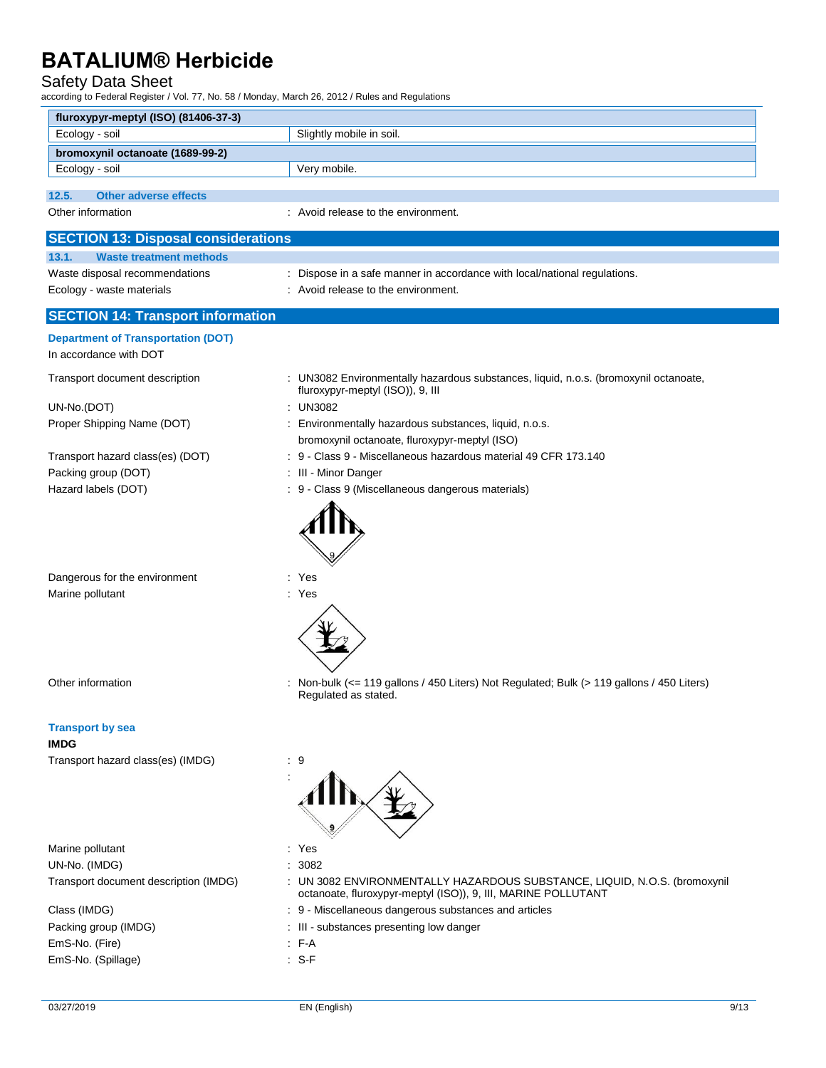### Safety Data Sheet

according to Federal Register / Vol. 77, No. 58 / Monday, March 26, 2012 / Rules and Regulations

| fluroxypyr-meptyl (ISO) (81406-37-3)                                |                                                                                                                                          |  |  |  |  |
|---------------------------------------------------------------------|------------------------------------------------------------------------------------------------------------------------------------------|--|--|--|--|
| Ecology - soil                                                      | Slightly mobile in soil.                                                                                                                 |  |  |  |  |
| bromoxynil octanoate (1689-99-2)                                    |                                                                                                                                          |  |  |  |  |
| Ecology - soil                                                      | Very mobile.                                                                                                                             |  |  |  |  |
| 12.5.<br><b>Other adverse effects</b>                               |                                                                                                                                          |  |  |  |  |
| Other information                                                   | : Avoid release to the environment.                                                                                                      |  |  |  |  |
| <b>SECTION 13: Disposal considerations</b>                          |                                                                                                                                          |  |  |  |  |
| 13.1.<br><b>Waste treatment methods</b>                             |                                                                                                                                          |  |  |  |  |
| Waste disposal recommendations                                      | Dispose in a safe manner in accordance with local/national regulations.                                                                  |  |  |  |  |
| Ecology - waste materials                                           | : Avoid release to the environment.                                                                                                      |  |  |  |  |
| <b>SECTION 14: Transport information</b>                            |                                                                                                                                          |  |  |  |  |
|                                                                     |                                                                                                                                          |  |  |  |  |
| <b>Department of Transportation (DOT)</b><br>In accordance with DOT |                                                                                                                                          |  |  |  |  |
|                                                                     |                                                                                                                                          |  |  |  |  |
| Transport document description                                      | : UN3082 Environmentally hazardous substances, liquid, n.o.s. (bromoxynil octanoate,<br>fluroxypyr-meptyl (ISO)), 9, III                 |  |  |  |  |
| UN-No.(DOT)                                                         | <b>UN3082</b>                                                                                                                            |  |  |  |  |
| Proper Shipping Name (DOT)                                          | Environmentally hazardous substances, liquid, n.o.s.                                                                                     |  |  |  |  |
|                                                                     | bromoxynil octanoate, fluroxypyr-meptyl (ISO)<br>9 - Class 9 - Miscellaneous hazardous material 49 CFR 173.140                           |  |  |  |  |
| Transport hazard class(es) (DOT)<br>Packing group (DOT)             | : III - Minor Danger                                                                                                                     |  |  |  |  |
| Hazard labels (DOT)                                                 | : 9 - Class 9 (Miscellaneous dangerous materials)                                                                                        |  |  |  |  |
|                                                                     |                                                                                                                                          |  |  |  |  |
| Dangerous for the environment                                       | : Yes                                                                                                                                    |  |  |  |  |
| Marine pollutant                                                    | : Yes                                                                                                                                    |  |  |  |  |
| Other information                                                   | Non-bulk (<= 119 gallons / 450 Liters) Not Regulated; Bulk (> 119 gallons / 450 Liters)<br>Regulated as stated.                          |  |  |  |  |
| <b>Transport by sea</b><br><b>IMDG</b>                              |                                                                                                                                          |  |  |  |  |
| Transport hazard class(es) (IMDG)                                   | : 9                                                                                                                                      |  |  |  |  |
| Marine pollutant                                                    | : Yes                                                                                                                                    |  |  |  |  |
| UN-No. (IMDG)                                                       | 3082                                                                                                                                     |  |  |  |  |
| Transport document description (IMDG)                               | UN 3082 ENVIRONMENTALLY HAZARDOUS SUBSTANCE, LIQUID, N.O.S. (bromoxynil<br>octanoate, fluroxypyr-meptyl (ISO)), 9, III, MARINE POLLUTANT |  |  |  |  |

Class (IMDG) : 9 - Miscellaneous dangerous substances and articles Packing group (IMDG)  $\qquad \qquad : \qquad II$  - substances presenting low danger EmS-No. (Fire) : F-A EmS-No. (Spillage) : S-F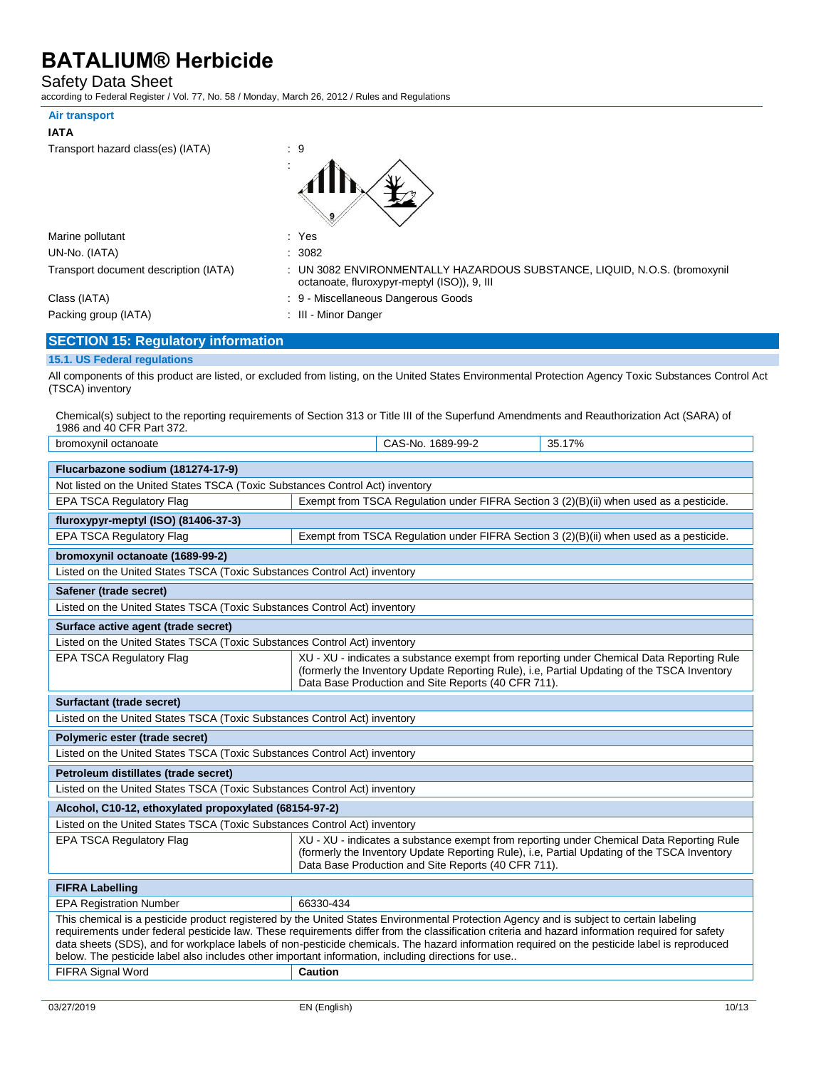### Safety Data Sheet

according to Federal Register / Vol. 77, No. 58 / Monday, March 26, 2012 / Rules and Regulations

**Air transport** 

#### **IATA**

Transport hazard class(es) (IATA) : 9



| Marine pollutant                      |  |
|---------------------------------------|--|
| UN-No. (IATA)                         |  |
| Transport document description (IATA) |  |
|                                       |  |

octanoate, fluroxypyr-meptyl (ISO)), 9, III Class (IATA) : 9 - Miscellaneous Dangerous Goods

Packing group (IATA) : III - Minor Danger

 $: 3082$ 

### **SECTION 15: Regulatory information**

#### **15.1. US Federal regulations**

All components of this product are listed, or excluded from listing, on the United States Environmental Protection Agency Toxic Substances Control Act (TSCA) inventory

: UN 3082 ENVIRONMENTALLY HAZARDOUS SUBSTANCE, LIQUID, N.O.S. (bromoxynil

Chemical(s) subject to the reporting requirements of Section 313 or Title III of the Superfund Amendments and Reauthorization Act (SARA) of 1986 and 40 CFR Part 372.

| Flucarbazone sodium (181274-17-9)<br>Not listed on the United States TSCA (Toxic Substances Control Act) inventory<br><b>EPA TSCA Regulatory Flag</b><br>Exempt from TSCA Regulation under FIFRA Section 3 (2)(B)(ii) when used as a pesticide.<br>fluroxypyr-meptyl (ISO) (81406-37-3)<br><b>EPA TSCA Regulatory Flag</b><br>Exempt from TSCA Regulation under FIFRA Section 3 (2)(B)(ii) when used as a pesticide.<br>bromoxynil octanoate (1689-99-2)<br>Listed on the United States TSCA (Toxic Substances Control Act) inventory<br>Safener (trade secret)<br>Listed on the United States TSCA (Toxic Substances Control Act) inventory<br>Surface active agent (trade secret)<br>Listed on the United States TSCA (Toxic Substances Control Act) inventory<br><b>EPA TSCA Regulatory Flag</b><br>XU - XU - indicates a substance exempt from reporting under Chemical Data Reporting Rule<br>(formerly the Inventory Update Reporting Rule), i.e, Partial Updating of the TSCA Inventory<br>Data Base Production and Site Reports (40 CFR 711).<br><b>Surfactant (trade secret)</b><br>Listed on the United States TSCA (Toxic Substances Control Act) inventory<br>Polymeric ester (trade secret)<br>Listed on the United States TSCA (Toxic Substances Control Act) inventory<br>Petroleum distillates (trade secret)<br>Listed on the United States TSCA (Toxic Substances Control Act) inventory<br>Alcohol, C10-12, ethoxylated propoxylated (68154-97-2)<br>Listed on the United States TSCA (Toxic Substances Control Act) inventory<br><b>EPA TSCA Regulatory Flag</b><br>XU - XU - indicates a substance exempt from reporting under Chemical Data Reporting Rule<br>(formerly the Inventory Update Reporting Rule), i.e, Partial Updating of the TSCA Inventory<br>Data Base Production and Site Reports (40 CFR 711).<br><b>FIFRA Labelling</b><br><b>EPA Registration Number</b><br>66330-434<br>This chemical is a pesticide product registered by the United States Environmental Protection Agency and is subject to certain labeling<br>requirements under federal pesticide law. These requirements differ from the classification criteria and hazard information required for safety<br>data sheets (SDS), and for workplace labels of non-pesticide chemicals. The hazard information required on the pesticide label is reproduced<br>below. The pesticide label also includes other important information, including directions for use<br>FIFRA Signal Word<br><b>Caution</b> | bromoxynil octanoate | CAS-No. 1689-99-2<br>35.17% |  |  |  |  |  |
|------------------------------------------------------------------------------------------------------------------------------------------------------------------------------------------------------------------------------------------------------------------------------------------------------------------------------------------------------------------------------------------------------------------------------------------------------------------------------------------------------------------------------------------------------------------------------------------------------------------------------------------------------------------------------------------------------------------------------------------------------------------------------------------------------------------------------------------------------------------------------------------------------------------------------------------------------------------------------------------------------------------------------------------------------------------------------------------------------------------------------------------------------------------------------------------------------------------------------------------------------------------------------------------------------------------------------------------------------------------------------------------------------------------------------------------------------------------------------------------------------------------------------------------------------------------------------------------------------------------------------------------------------------------------------------------------------------------------------------------------------------------------------------------------------------------------------------------------------------------------------------------------------------------------------------------------------------------------------------------------------------------------------------------------------------------------------------------------------------------------------------------------------------------------------------------------------------------------------------------------------------------------------------------------------------------------------------------------------------------------------------------------------------------------------------------------------------------------------------------------------------|----------------------|-----------------------------|--|--|--|--|--|
|                                                                                                                                                                                                                                                                                                                                                                                                                                                                                                                                                                                                                                                                                                                                                                                                                                                                                                                                                                                                                                                                                                                                                                                                                                                                                                                                                                                                                                                                                                                                                                                                                                                                                                                                                                                                                                                                                                                                                                                                                                                                                                                                                                                                                                                                                                                                                                                                                                                                                                            |                      |                             |  |  |  |  |  |
|                                                                                                                                                                                                                                                                                                                                                                                                                                                                                                                                                                                                                                                                                                                                                                                                                                                                                                                                                                                                                                                                                                                                                                                                                                                                                                                                                                                                                                                                                                                                                                                                                                                                                                                                                                                                                                                                                                                                                                                                                                                                                                                                                                                                                                                                                                                                                                                                                                                                                                            |                      |                             |  |  |  |  |  |
|                                                                                                                                                                                                                                                                                                                                                                                                                                                                                                                                                                                                                                                                                                                                                                                                                                                                                                                                                                                                                                                                                                                                                                                                                                                                                                                                                                                                                                                                                                                                                                                                                                                                                                                                                                                                                                                                                                                                                                                                                                                                                                                                                                                                                                                                                                                                                                                                                                                                                                            |                      |                             |  |  |  |  |  |
|                                                                                                                                                                                                                                                                                                                                                                                                                                                                                                                                                                                                                                                                                                                                                                                                                                                                                                                                                                                                                                                                                                                                                                                                                                                                                                                                                                                                                                                                                                                                                                                                                                                                                                                                                                                                                                                                                                                                                                                                                                                                                                                                                                                                                                                                                                                                                                                                                                                                                                            |                      |                             |  |  |  |  |  |
|                                                                                                                                                                                                                                                                                                                                                                                                                                                                                                                                                                                                                                                                                                                                                                                                                                                                                                                                                                                                                                                                                                                                                                                                                                                                                                                                                                                                                                                                                                                                                                                                                                                                                                                                                                                                                                                                                                                                                                                                                                                                                                                                                                                                                                                                                                                                                                                                                                                                                                            |                      |                             |  |  |  |  |  |
|                                                                                                                                                                                                                                                                                                                                                                                                                                                                                                                                                                                                                                                                                                                                                                                                                                                                                                                                                                                                                                                                                                                                                                                                                                                                                                                                                                                                                                                                                                                                                                                                                                                                                                                                                                                                                                                                                                                                                                                                                                                                                                                                                                                                                                                                                                                                                                                                                                                                                                            |                      |                             |  |  |  |  |  |
|                                                                                                                                                                                                                                                                                                                                                                                                                                                                                                                                                                                                                                                                                                                                                                                                                                                                                                                                                                                                                                                                                                                                                                                                                                                                                                                                                                                                                                                                                                                                                                                                                                                                                                                                                                                                                                                                                                                                                                                                                                                                                                                                                                                                                                                                                                                                                                                                                                                                                                            |                      |                             |  |  |  |  |  |
|                                                                                                                                                                                                                                                                                                                                                                                                                                                                                                                                                                                                                                                                                                                                                                                                                                                                                                                                                                                                                                                                                                                                                                                                                                                                                                                                                                                                                                                                                                                                                                                                                                                                                                                                                                                                                                                                                                                                                                                                                                                                                                                                                                                                                                                                                                                                                                                                                                                                                                            |                      |                             |  |  |  |  |  |
|                                                                                                                                                                                                                                                                                                                                                                                                                                                                                                                                                                                                                                                                                                                                                                                                                                                                                                                                                                                                                                                                                                                                                                                                                                                                                                                                                                                                                                                                                                                                                                                                                                                                                                                                                                                                                                                                                                                                                                                                                                                                                                                                                                                                                                                                                                                                                                                                                                                                                                            |                      |                             |  |  |  |  |  |
|                                                                                                                                                                                                                                                                                                                                                                                                                                                                                                                                                                                                                                                                                                                                                                                                                                                                                                                                                                                                                                                                                                                                                                                                                                                                                                                                                                                                                                                                                                                                                                                                                                                                                                                                                                                                                                                                                                                                                                                                                                                                                                                                                                                                                                                                                                                                                                                                                                                                                                            |                      |                             |  |  |  |  |  |
|                                                                                                                                                                                                                                                                                                                                                                                                                                                                                                                                                                                                                                                                                                                                                                                                                                                                                                                                                                                                                                                                                                                                                                                                                                                                                                                                                                                                                                                                                                                                                                                                                                                                                                                                                                                                                                                                                                                                                                                                                                                                                                                                                                                                                                                                                                                                                                                                                                                                                                            |                      |                             |  |  |  |  |  |
|                                                                                                                                                                                                                                                                                                                                                                                                                                                                                                                                                                                                                                                                                                                                                                                                                                                                                                                                                                                                                                                                                                                                                                                                                                                                                                                                                                                                                                                                                                                                                                                                                                                                                                                                                                                                                                                                                                                                                                                                                                                                                                                                                                                                                                                                                                                                                                                                                                                                                                            |                      |                             |  |  |  |  |  |
|                                                                                                                                                                                                                                                                                                                                                                                                                                                                                                                                                                                                                                                                                                                                                                                                                                                                                                                                                                                                                                                                                                                                                                                                                                                                                                                                                                                                                                                                                                                                                                                                                                                                                                                                                                                                                                                                                                                                                                                                                                                                                                                                                                                                                                                                                                                                                                                                                                                                                                            |                      |                             |  |  |  |  |  |
|                                                                                                                                                                                                                                                                                                                                                                                                                                                                                                                                                                                                                                                                                                                                                                                                                                                                                                                                                                                                                                                                                                                                                                                                                                                                                                                                                                                                                                                                                                                                                                                                                                                                                                                                                                                                                                                                                                                                                                                                                                                                                                                                                                                                                                                                                                                                                                                                                                                                                                            |                      |                             |  |  |  |  |  |
|                                                                                                                                                                                                                                                                                                                                                                                                                                                                                                                                                                                                                                                                                                                                                                                                                                                                                                                                                                                                                                                                                                                                                                                                                                                                                                                                                                                                                                                                                                                                                                                                                                                                                                                                                                                                                                                                                                                                                                                                                                                                                                                                                                                                                                                                                                                                                                                                                                                                                                            |                      |                             |  |  |  |  |  |
|                                                                                                                                                                                                                                                                                                                                                                                                                                                                                                                                                                                                                                                                                                                                                                                                                                                                                                                                                                                                                                                                                                                                                                                                                                                                                                                                                                                                                                                                                                                                                                                                                                                                                                                                                                                                                                                                                                                                                                                                                                                                                                                                                                                                                                                                                                                                                                                                                                                                                                            |                      |                             |  |  |  |  |  |
|                                                                                                                                                                                                                                                                                                                                                                                                                                                                                                                                                                                                                                                                                                                                                                                                                                                                                                                                                                                                                                                                                                                                                                                                                                                                                                                                                                                                                                                                                                                                                                                                                                                                                                                                                                                                                                                                                                                                                                                                                                                                                                                                                                                                                                                                                                                                                                                                                                                                                                            |                      |                             |  |  |  |  |  |
|                                                                                                                                                                                                                                                                                                                                                                                                                                                                                                                                                                                                                                                                                                                                                                                                                                                                                                                                                                                                                                                                                                                                                                                                                                                                                                                                                                                                                                                                                                                                                                                                                                                                                                                                                                                                                                                                                                                                                                                                                                                                                                                                                                                                                                                                                                                                                                                                                                                                                                            |                      |                             |  |  |  |  |  |
|                                                                                                                                                                                                                                                                                                                                                                                                                                                                                                                                                                                                                                                                                                                                                                                                                                                                                                                                                                                                                                                                                                                                                                                                                                                                                                                                                                                                                                                                                                                                                                                                                                                                                                                                                                                                                                                                                                                                                                                                                                                                                                                                                                                                                                                                                                                                                                                                                                                                                                            |                      |                             |  |  |  |  |  |
|                                                                                                                                                                                                                                                                                                                                                                                                                                                                                                                                                                                                                                                                                                                                                                                                                                                                                                                                                                                                                                                                                                                                                                                                                                                                                                                                                                                                                                                                                                                                                                                                                                                                                                                                                                                                                                                                                                                                                                                                                                                                                                                                                                                                                                                                                                                                                                                                                                                                                                            |                      |                             |  |  |  |  |  |
|                                                                                                                                                                                                                                                                                                                                                                                                                                                                                                                                                                                                                                                                                                                                                                                                                                                                                                                                                                                                                                                                                                                                                                                                                                                                                                                                                                                                                                                                                                                                                                                                                                                                                                                                                                                                                                                                                                                                                                                                                                                                                                                                                                                                                                                                                                                                                                                                                                                                                                            |                      |                             |  |  |  |  |  |
|                                                                                                                                                                                                                                                                                                                                                                                                                                                                                                                                                                                                                                                                                                                                                                                                                                                                                                                                                                                                                                                                                                                                                                                                                                                                                                                                                                                                                                                                                                                                                                                                                                                                                                                                                                                                                                                                                                                                                                                                                                                                                                                                                                                                                                                                                                                                                                                                                                                                                                            |                      |                             |  |  |  |  |  |
|                                                                                                                                                                                                                                                                                                                                                                                                                                                                                                                                                                                                                                                                                                                                                                                                                                                                                                                                                                                                                                                                                                                                                                                                                                                                                                                                                                                                                                                                                                                                                                                                                                                                                                                                                                                                                                                                                                                                                                                                                                                                                                                                                                                                                                                                                                                                                                                                                                                                                                            |                      |                             |  |  |  |  |  |
|                                                                                                                                                                                                                                                                                                                                                                                                                                                                                                                                                                                                                                                                                                                                                                                                                                                                                                                                                                                                                                                                                                                                                                                                                                                                                                                                                                                                                                                                                                                                                                                                                                                                                                                                                                                                                                                                                                                                                                                                                                                                                                                                                                                                                                                                                                                                                                                                                                                                                                            |                      |                             |  |  |  |  |  |
|                                                                                                                                                                                                                                                                                                                                                                                                                                                                                                                                                                                                                                                                                                                                                                                                                                                                                                                                                                                                                                                                                                                                                                                                                                                                                                                                                                                                                                                                                                                                                                                                                                                                                                                                                                                                                                                                                                                                                                                                                                                                                                                                                                                                                                                                                                                                                                                                                                                                                                            |                      |                             |  |  |  |  |  |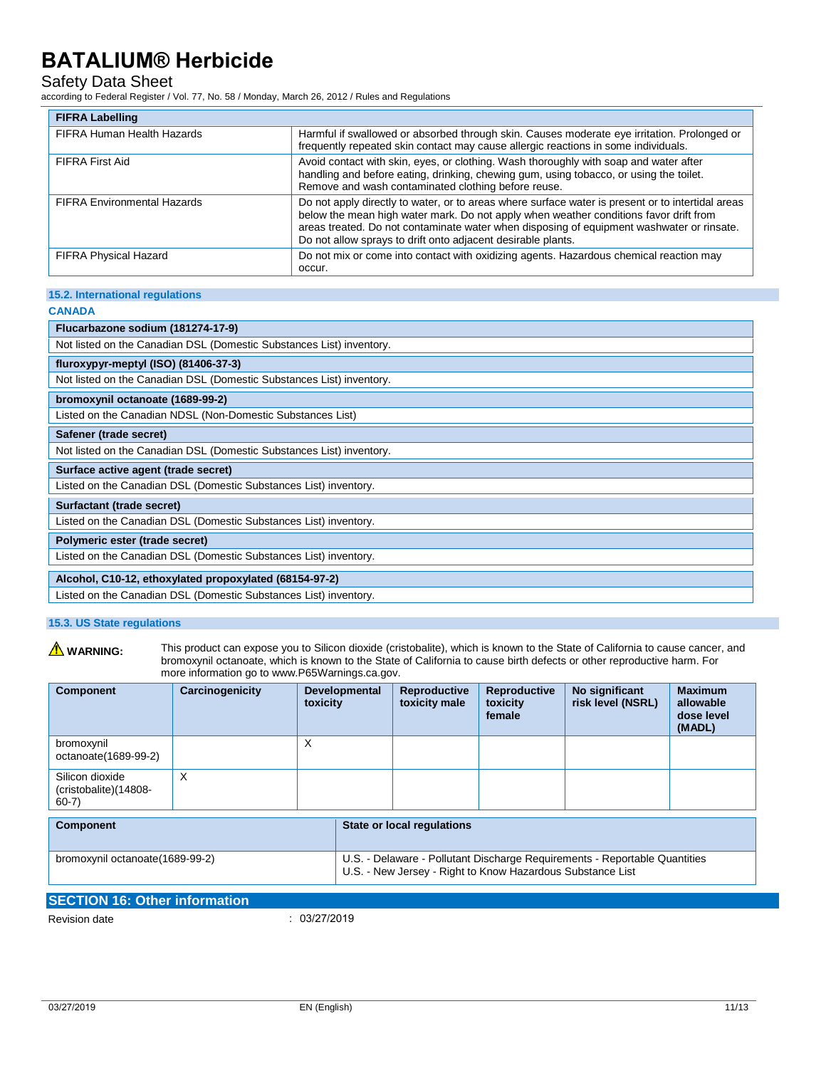Safety Data Sheet

according to Federal Register / Vol. 77, No. 58 / Monday, March 26, 2012 / Rules and Regulations

| <b>FIFRA Labelling</b>             |                                                                                                                                                                                                                                                                                                                                                         |
|------------------------------------|---------------------------------------------------------------------------------------------------------------------------------------------------------------------------------------------------------------------------------------------------------------------------------------------------------------------------------------------------------|
| FIFRA Human Health Hazards         | Harmful if swallowed or absorbed through skin. Causes moderate eye irritation. Prolonged or<br>frequently repeated skin contact may cause allergic reactions in some individuals.                                                                                                                                                                       |
| FIFRA First Aid                    | Avoid contact with skin, eyes, or clothing. Wash thoroughly with soap and water after<br>handling and before eating, drinking, chewing gum, using tobacco, or using the toilet.<br>Remove and wash contaminated clothing before reuse.                                                                                                                  |
| <b>FIFRA Environmental Hazards</b> | Do not apply directly to water, or to areas where surface water is present or to intertidal areas<br>below the mean high water mark. Do not apply when weather conditions favor drift from<br>areas treated. Do not contaminate water when disposing of equipment washwater or rinsate.<br>Do not allow sprays to drift onto adjacent desirable plants. |
| <b>FIFRA Physical Hazard</b>       | Do not mix or come into contact with oxidizing agents. Hazardous chemical reaction may<br>occur.                                                                                                                                                                                                                                                        |

#### **15.2. International regulations**

| <b>CANADA</b>                                                        |
|----------------------------------------------------------------------|
| Flucarbazone sodium (181274-17-9)                                    |
| Not listed on the Canadian DSL (Domestic Substances List) inventory. |
| fluroxypyr-meptyl (ISO) (81406-37-3)                                 |
| Not listed on the Canadian DSL (Domestic Substances List) inventory. |
| bromoxynil octanoate (1689-99-2)                                     |
| Listed on the Canadian NDSL (Non-Domestic Substances List)           |
| Safener (trade secret)                                               |
| Not listed on the Canadian DSL (Domestic Substances List) inventory. |
| Surface active agent (trade secret)                                  |
| Listed on the Canadian DSL (Domestic Substances List) inventory.     |
| Surfactant (trade secret)                                            |
| Listed on the Canadian DSL (Domestic Substances List) inventory.     |
| Polymeric ester (trade secret)                                       |
| Listed on the Canadian DSL (Domestic Substances List) inventory.     |
| Alcohol, C10-12, ethoxylated propoxylated (68154-97-2)               |
| Listed on the Canadian DSL (Domestic Substances List) inventory.     |

#### **15.3. US State regulations**

WARNING: This product can expose you to Silicon dioxide (cristobalite), which is known to the State of California to cause cancer, and<br>bromoxynil octanoate, which is known to the State of California to cause birth defects more information go to www.P65Warnings.ca.gov.

| <b>Component</b>                                       | Carcinogenicity | Developmental<br>toxicity |  | <b>Reproductive</b><br>toxicity male                       | <b>Reproductive</b><br>toxicity<br>female | No significant<br>risk level (NSRL)                                        | <b>Maximum</b><br>allowable<br>dose level<br>(MADL) |
|--------------------------------------------------------|-----------------|---------------------------|--|------------------------------------------------------------|-------------------------------------------|----------------------------------------------------------------------------|-----------------------------------------------------|
| bromoxynil<br>octanoate(1689-99-2)                     |                 | X                         |  |                                                            |                                           |                                                                            |                                                     |
| Silicon dioxide<br>(cristobalite)(14808-<br>$60 - 7$ ) | X               |                           |  |                                                            |                                           |                                                                            |                                                     |
| <b>Component</b>                                       |                 |                           |  | <b>State or local regulations</b>                          |                                           |                                                                            |                                                     |
| bromoxynil octanoate (1689-99-2)                       |                 |                           |  | U.S. - New Jersey - Right to Know Hazardous Substance List |                                           | U.S. - Delaware - Pollutant Discharge Requirements - Reportable Quantities |                                                     |

**SECTION 16: Other information**

Revision date : 03/27/2019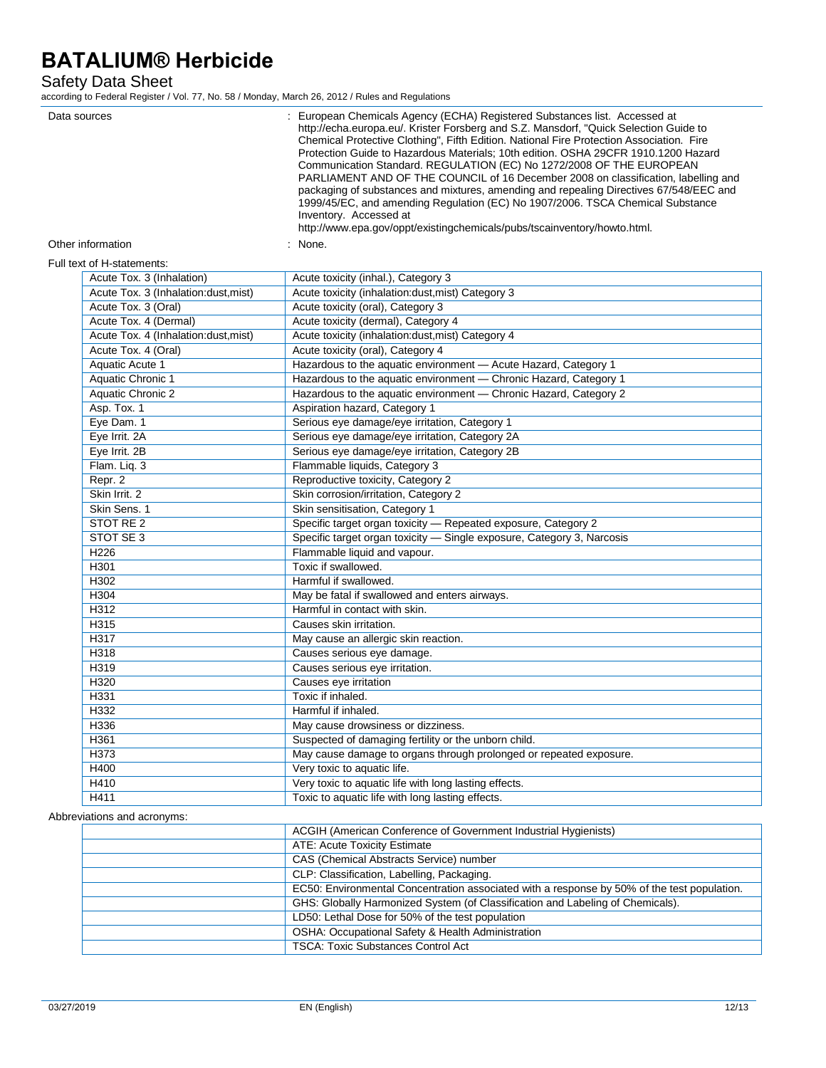Safety Data Sheet

according to Federal Register / Vol. 77, No. 58 / Monday, March 26, 2012 / Rules and Regulations

| Data sources |                                       | : European Chemicals Agency (ECHA) Registered Substances list. Accessed at<br>http://echa.europa.eu/. Krister Forsberg and S.Z. Mansdorf, "Quick Selection Guide to<br>Chemical Protective Clothing", Fifth Edition. National Fire Protection Association. Fire<br>Protection Guide to Hazardous Materials; 10th edition. OSHA 29CFR 1910.1200 Hazard<br>Communication Standard. REGULATION (EC) No 1272/2008 OF THE EUROPEAN<br>PARLIAMENT AND OF THE COUNCIL of 16 December 2008 on classification, labelling and<br>packaging of substances and mixtures, amending and repealing Directives 67/548/EEC and<br>1999/45/EC, and amending Regulation (EC) No 1907/2006. TSCA Chemical Substance<br>Inventory. Accessed at<br>http://www.epa.gov/oppt/existingchemicals/pubs/tscainventory/howto.html. |
|--------------|---------------------------------------|-------------------------------------------------------------------------------------------------------------------------------------------------------------------------------------------------------------------------------------------------------------------------------------------------------------------------------------------------------------------------------------------------------------------------------------------------------------------------------------------------------------------------------------------------------------------------------------------------------------------------------------------------------------------------------------------------------------------------------------------------------------------------------------------------------|
|              | Other information                     | : None.                                                                                                                                                                                                                                                                                                                                                                                                                                                                                                                                                                                                                                                                                                                                                                                               |
|              | Full text of H-statements:            |                                                                                                                                                                                                                                                                                                                                                                                                                                                                                                                                                                                                                                                                                                                                                                                                       |
|              | Acute Tox. 3 (Inhalation)             | Acute toxicity (inhal.), Category 3                                                                                                                                                                                                                                                                                                                                                                                                                                                                                                                                                                                                                                                                                                                                                                   |
|              | Acute Tox. 3 (Inhalation: dust, mist) | Acute toxicity (inhalation:dust, mist) Category 3                                                                                                                                                                                                                                                                                                                                                                                                                                                                                                                                                                                                                                                                                                                                                     |
|              | Acute Tox. 3 (Oral)                   | Acute toxicity (oral), Category 3                                                                                                                                                                                                                                                                                                                                                                                                                                                                                                                                                                                                                                                                                                                                                                     |
|              | Acute Tox. 4 (Dermal)                 | Acute toxicity (dermal), Category 4                                                                                                                                                                                                                                                                                                                                                                                                                                                                                                                                                                                                                                                                                                                                                                   |
|              | Acute Tox. 4 (Inhalation:dust, mist)  | Acute toxicity (inhalation:dust, mist) Category 4                                                                                                                                                                                                                                                                                                                                                                                                                                                                                                                                                                                                                                                                                                                                                     |
|              | Acute Tox. 4 (Oral)                   | Acute toxicity (oral), Category 4                                                                                                                                                                                                                                                                                                                                                                                                                                                                                                                                                                                                                                                                                                                                                                     |
|              | Aquatic Acute 1                       | Hazardous to the aquatic environment - Acute Hazard, Category 1                                                                                                                                                                                                                                                                                                                                                                                                                                                                                                                                                                                                                                                                                                                                       |
|              | Aquatic Chronic 1                     | Hazardous to the aquatic environment - Chronic Hazard, Category 1                                                                                                                                                                                                                                                                                                                                                                                                                                                                                                                                                                                                                                                                                                                                     |
|              | Aquatic Chronic 2                     | Hazardous to the aquatic environment - Chronic Hazard, Category 2                                                                                                                                                                                                                                                                                                                                                                                                                                                                                                                                                                                                                                                                                                                                     |
|              | Asp. Tox. 1                           | Aspiration hazard, Category 1                                                                                                                                                                                                                                                                                                                                                                                                                                                                                                                                                                                                                                                                                                                                                                         |
|              | Eye Dam. 1                            | Serious eye damage/eye irritation, Category 1                                                                                                                                                                                                                                                                                                                                                                                                                                                                                                                                                                                                                                                                                                                                                         |
|              | Eye Irrit. 2A                         | Serious eye damage/eye irritation, Category 2A                                                                                                                                                                                                                                                                                                                                                                                                                                                                                                                                                                                                                                                                                                                                                        |
|              | Eye Irrit. 2B                         | Serious eye damage/eye irritation, Category 2B                                                                                                                                                                                                                                                                                                                                                                                                                                                                                                                                                                                                                                                                                                                                                        |
|              | Flam. Liq. 3                          | Flammable liquids, Category 3                                                                                                                                                                                                                                                                                                                                                                                                                                                                                                                                                                                                                                                                                                                                                                         |
|              | Repr. 2                               | Reproductive toxicity, Category 2                                                                                                                                                                                                                                                                                                                                                                                                                                                                                                                                                                                                                                                                                                                                                                     |
|              | Skin Irrit. 2                         | Skin corrosion/irritation, Category 2                                                                                                                                                                                                                                                                                                                                                                                                                                                                                                                                                                                                                                                                                                                                                                 |
|              | Skin Sens. 1                          | Skin sensitisation, Category 1                                                                                                                                                                                                                                                                                                                                                                                                                                                                                                                                                                                                                                                                                                                                                                        |
|              | STOT RE <sub>2</sub>                  | Specific target organ toxicity - Repeated exposure, Category 2                                                                                                                                                                                                                                                                                                                                                                                                                                                                                                                                                                                                                                                                                                                                        |
|              | STOT SE 3                             | Specific target organ toxicity - Single exposure, Category 3, Narcosis                                                                                                                                                                                                                                                                                                                                                                                                                                                                                                                                                                                                                                                                                                                                |
|              | H226                                  | Flammable liquid and vapour.                                                                                                                                                                                                                                                                                                                                                                                                                                                                                                                                                                                                                                                                                                                                                                          |
|              | H301                                  | Toxic if swallowed.                                                                                                                                                                                                                                                                                                                                                                                                                                                                                                                                                                                                                                                                                                                                                                                   |
|              | H302                                  | Harmful if swallowed.                                                                                                                                                                                                                                                                                                                                                                                                                                                                                                                                                                                                                                                                                                                                                                                 |
|              | H304                                  | May be fatal if swallowed and enters airways.                                                                                                                                                                                                                                                                                                                                                                                                                                                                                                                                                                                                                                                                                                                                                         |
|              | H312                                  | Harmful in contact with skin.                                                                                                                                                                                                                                                                                                                                                                                                                                                                                                                                                                                                                                                                                                                                                                         |
|              | H315                                  | Causes skin irritation.                                                                                                                                                                                                                                                                                                                                                                                                                                                                                                                                                                                                                                                                                                                                                                               |
|              | H317                                  | May cause an allergic skin reaction.                                                                                                                                                                                                                                                                                                                                                                                                                                                                                                                                                                                                                                                                                                                                                                  |
|              | H318                                  | Causes serious eye damage.                                                                                                                                                                                                                                                                                                                                                                                                                                                                                                                                                                                                                                                                                                                                                                            |
|              | H319                                  | Causes serious eye irritation.                                                                                                                                                                                                                                                                                                                                                                                                                                                                                                                                                                                                                                                                                                                                                                        |
|              | H320                                  | Causes eye irritation                                                                                                                                                                                                                                                                                                                                                                                                                                                                                                                                                                                                                                                                                                                                                                                 |
|              | H331                                  | Toxic if inhaled.                                                                                                                                                                                                                                                                                                                                                                                                                                                                                                                                                                                                                                                                                                                                                                                     |
|              | H332                                  | Harmful if inhaled.                                                                                                                                                                                                                                                                                                                                                                                                                                                                                                                                                                                                                                                                                                                                                                                   |
|              | H336                                  | May cause drowsiness or dizziness.                                                                                                                                                                                                                                                                                                                                                                                                                                                                                                                                                                                                                                                                                                                                                                    |
|              | H361                                  | Suspected of damaging fertility or the unborn child.                                                                                                                                                                                                                                                                                                                                                                                                                                                                                                                                                                                                                                                                                                                                                  |
|              | H373                                  | May cause damage to organs through prolonged or repeated exposure.                                                                                                                                                                                                                                                                                                                                                                                                                                                                                                                                                                                                                                                                                                                                    |
|              | H400                                  | Very toxic to aquatic life.                                                                                                                                                                                                                                                                                                                                                                                                                                                                                                                                                                                                                                                                                                                                                                           |
|              | H410                                  | Very toxic to aquatic life with long lasting effects.                                                                                                                                                                                                                                                                                                                                                                                                                                                                                                                                                                                                                                                                                                                                                 |
|              | H411                                  | Toxic to aquatic life with long lasting effects.                                                                                                                                                                                                                                                                                                                                                                                                                                                                                                                                                                                                                                                                                                                                                      |

#### Abbreviations and acronyms:

| ACGIH (American Conference of Government Industrial Hygienists)                             |
|---------------------------------------------------------------------------------------------|
| <b>ATE: Acute Toxicity Estimate</b>                                                         |
| CAS (Chemical Abstracts Service) number                                                     |
| CLP: Classification, Labelling, Packaging.                                                  |
| EC50: Environmental Concentration associated with a response by 50% of the test population. |
| GHS: Globally Harmonized System (of Classification and Labeling of Chemicals).              |
| LD50: Lethal Dose for 50% of the test population                                            |
| OSHA: Occupational Safety & Health Administration                                           |
| <b>TSCA: Toxic Substances Control Act</b>                                                   |